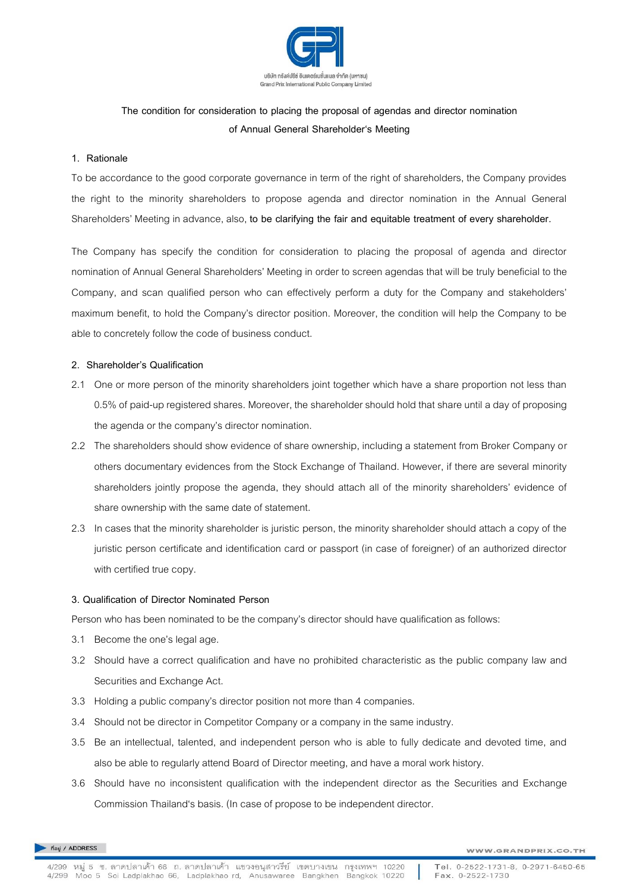

# **The condition for consideration to placing the proposal of agendas and director nomination of Annual General Shareholder's Meeting**

#### **1. Rationale**

To be accordance to the good corporate governance in term of the right of shareholders, the Company provides the right to the minority shareholders to propose agenda and director nomination in the Annual General Shareholders' Meeting in advance, also, **to be clarifying the fair and equitable treatment of every shareholder.**

The Company has specify the condition for consideration to placing the proposal of agenda and director nomination of Annual General Shareholders' Meeting in order to screen agendas that will be truly beneficial to the Company, and scan qualified person who can effectively perform a duty for the Company and stakeholders' maximum benefit, to hold the Company's director position. Moreover, the condition will help the Company to be able to concretely follow the code of business conduct.

## **2. Shareholder's Qualification**

- 2.1 One or more person of the minority shareholders joint together which have a share proportion not less than 0.5% of paid-up registered shares. Moreover, the shareholder should hold that share until a day of proposing the agenda or the company's director nomination.
- 2.2 The shareholders should show evidence of share ownership, including a statement from Broker Company or others documentary evidences from the Stock Exchange of Thailand. However, if there are several minority shareholders jointly propose the agenda, they should attach all of the minority shareholders' evidence of share ownership with the same date of statement.
- 2.3 In cases that the minority shareholder is juristic person, the minority shareholder should attach a copy of the juristic person certificate and identification card or passport (in case of foreigner) of an authorized director with certified true copy.

## **3. Qualification of Director Nominated Person**

Person who has been nominated to be the company's director should have qualification as follows:

- 3.1 Become the one's legal age.
- 3.2 Should have a correct qualification and have no prohibited characteristic as the public company law and Securities and Exchange Act.
- 3.3 Holding a public company's director position not more than 4 companies.
- 3.4 Should not be director in Competitor Company or a company in the same industry.
- 3.5 Be an intellectual, talented, and independent person who is able to fully dedicate and devoted time, and also be able to regularly attend Board of Director meeting, and have a moral work history.
- 3.6 Should have no inconsistent qualification with the independent director as the Securities and Exchange Commission Thailand's basis. (In case of propose to be independent director.

ที่อยู่ / ADDRESS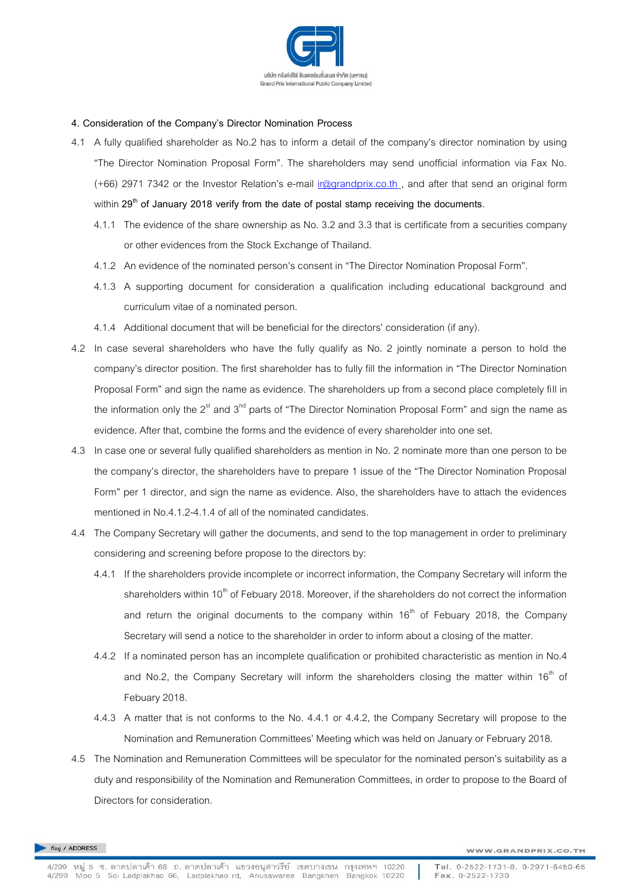

#### **4. Consideration of the Company's Director Nomination Process**

- 4.1 A fully qualified shareholder as No.2 has to inform a detail of the company's director nomination by using "The Director Nomination Proposal Form". The shareholders may send unofficial information via Fax No. (+66) 2971 7342 or the Investor Relation's e-mail [ir@grandprix.co.th](mailto:ir@grandprix.co.th) , and after that send an original form within **29th of January 2018 verify from the date of postal stamp receiving the documents**.
	- 4.1.1 The evidence of the share ownership as No. 3.2 and 3.3 that is certificate from a securities company or other evidences from the Stock Exchange of Thailand.
	- 4.1.2 An evidence of the nominated person's consent in "The Director Nomination Proposal Form".
	- 4.1.3 A supporting document for consideration a qualification including educational background and curriculum vitae of a nominated person.
	- 4.1.4 Additional document that will be beneficial for the directors' consideration (if any).
- 4.2 In case several shareholders who have the fully qualify as No. 2 jointly nominate a person to hold the company's director position. The first shareholder has to fully fill the information in "The Director Nomination Proposal Form" and sign the name as evidence. The shareholders up from a second place completely fill in the information only the  $2<sup>st</sup>$  and  $3<sup>nd</sup>$  parts of "The Director Nomination Proposal Form" and sign the name as evidence. After that, combine the forms and the evidence of every shareholder into one set.
- 4.3 In case one or several fully qualified shareholders as mention in No. 2 nominate more than one person to be the company's director, the shareholders have to prepare 1 issue of the "The Director Nomination Proposal Form" per 1 director, and sign the name as evidence. Also, the shareholders have to attach the evidences mentioned in No.4.1.2-4.1.4 of all of the nominated candidates.
- 4.4 The Company Secretary will gather the documents, and send to the top management in order to preliminary considering and screening before propose to the directors by:
	- 4.4.1 If the shareholders provide incomplete or incorrect information, the Company Secretary will inform the shareholders within  $10<sup>th</sup>$  of Febuary 2018. Moreover, if the shareholders do not correct the information and return the original documents to the company within  $16<sup>th</sup>$  of Febuary 2018, the Company Secretary will send a notice to the shareholder in order to inform about a closing of the matter.
	- 4.4.2 If a nominated person has an incomplete qualification or prohibited characteristic as mention in No.4 and No.2, the Company Secretary will inform the shareholders closing the matter within  $16<sup>th</sup>$  of Febuary 2018.
	- 4.4.3 A matter that is not conforms to the No. 4.4.1 or 4.4.2, the Company Secretary will propose to the Nomination and Remuneration Committees' Meeting which was held on January or February 2018.
- 4.5 The Nomination and Remuneration Committees will be speculator for the nominated person's suitability as a duty and responsibility of the Nomination and Remuneration Committees, in order to propose to the Board of Directors for consideration.

ที่อยู่ / ADDRESS

Tel. 0-2522-1731-8, 0-2971-6450-65 Fax. 0-2522-1730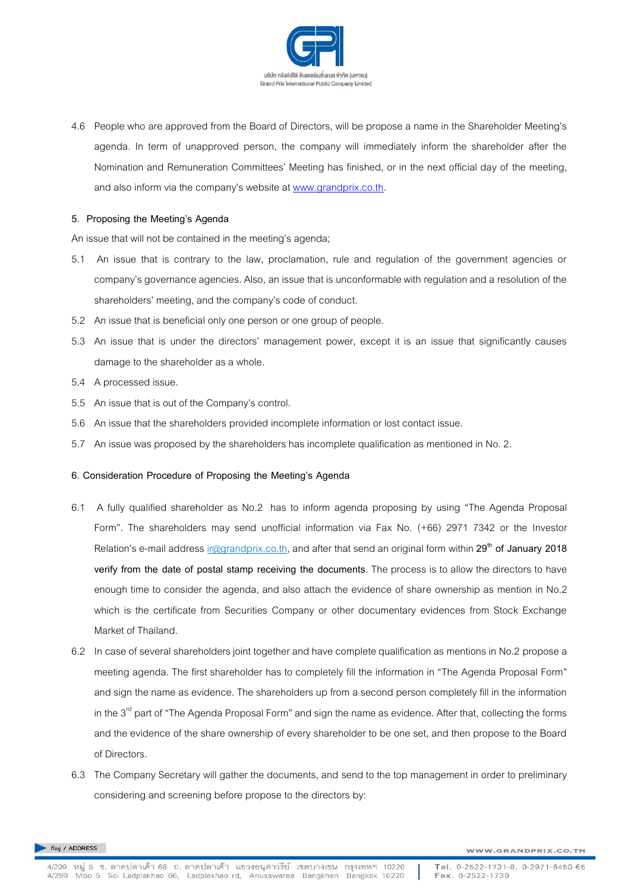

4.6 People who are approved from the Board of Directors, will be propose a name in the Shareholder Meeting's agenda. In term of unapproved person, the company will immediately inform the shareholder after the Nomination and Remuneration Committees' Meeting has finished, or in the next official day of the meeting, and also inform via the company's website at [www.grandprix.co.th.](http://www.grandprix.co.th/)

#### **5. Proposing the Meeting's Agenda**

An issue that will not be contained in the meeting's agenda;

- 5.1 An issue that is contrary to the law, proclamation, rule and regulation of the government agencies or company's governance agencies. Also, an issue that is unconformable with regulation and a resolution of the shareholders' meeting, and the company's code of conduct.
- 5.2 An issue that is beneficial only one person or one group of people.
- 5.3 An issue that is under the directors' management power, except it is an issue that significantly causes damage to the shareholder as a whole.
- 5.4 A processed issue.
- 5.5 An issue that is out of the Company's control.
- 5.6 An issue that the shareholders provided incomplete information or lost contact issue.
- 5.7 An issue was proposed by the shareholders has incomplete qualification as mentioned in No. 2**.**

#### **6. Consideration Procedure of Proposing the Meeting's Agenda**

- 6.1 A fully qualified shareholder as No.2 has to inform agenda proposing by using "The Agenda Proposal Form". The shareholders may send unofficial information via Fax No. (+66) 2971 7342 or the Investor Relation's e-mail address ir@grandprix.co.th, and after that send an original form within **29th of January 2018 verify from the date of postal stamp receiving the documents**. The process is to allow the directors to have enough time to consider the agenda, and also attach the evidence of share ownership as mention in No.2 which is the certificate from Securities Company or other documentary evidences from Stock Exchange Market of Thailand.
- 6.2 In case of several shareholders joint together and have complete qualification as mentions in No.2 propose a meeting agenda. The first shareholder has to completely fill the information in "The Agenda Proposal Form" and sign the name as evidence. The shareholders up from a second person completely fill in the information in the  $3<sup>rd</sup>$  part of "The Agenda Proposal Form" and sign the name as evidence. After that, collecting the forms and the evidence of the share ownership of every shareholder to be one set, and then propose to the Board of Directors.
- 6.3 The Company Secretary will gather the documents, and send to the top management in order to preliminary considering and screening before propose to the directors by:

ที่อย่ / ADDRESS